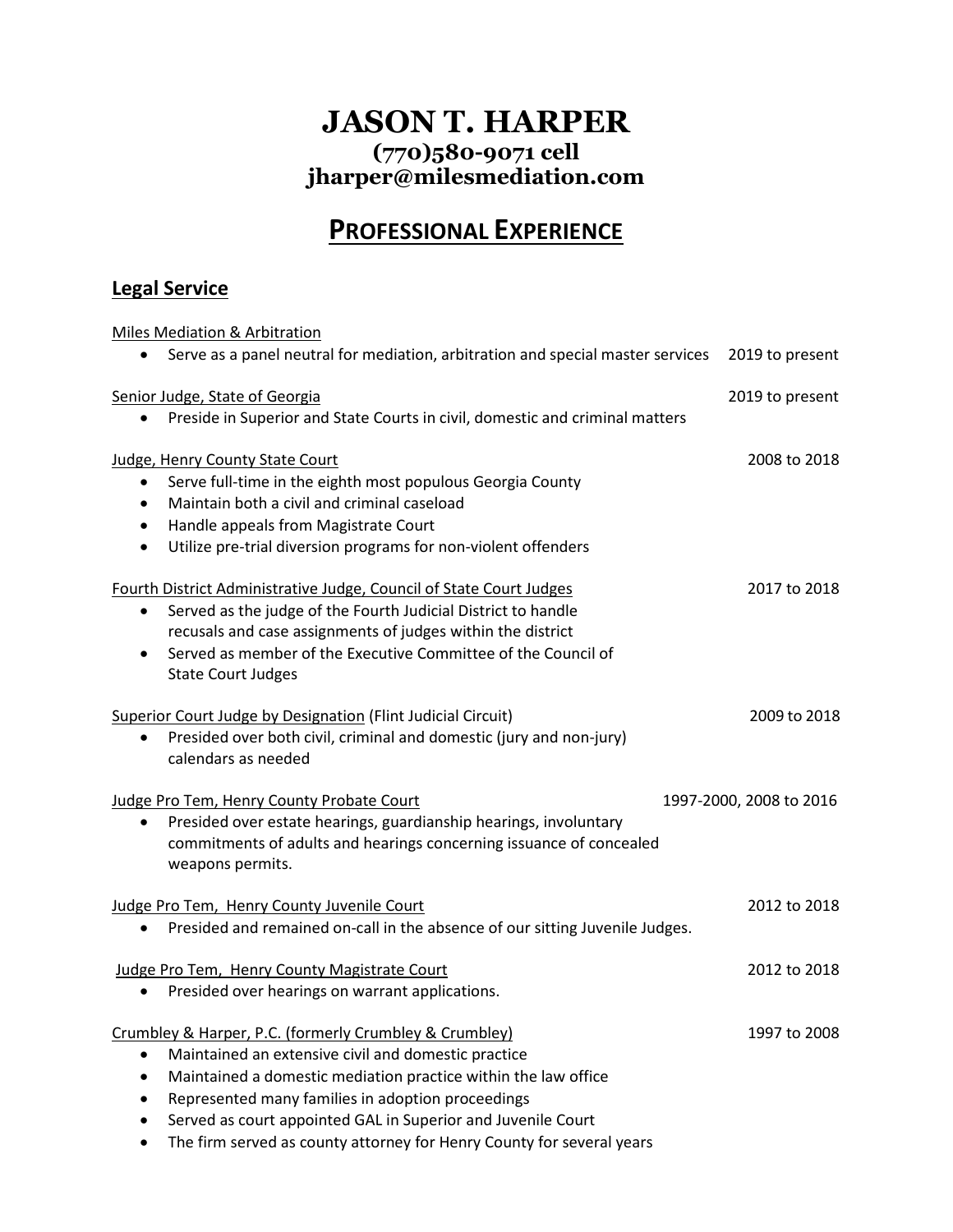### **JASON T. HARPER (770)580-9071 cell jharper@milesmediation.com**

## **PROFESSIONAL EXPERIENCE**

#### **Legal Service**

Miles Mediation & Arbitration • Serve as a panel neutral for mediation, arbitration and special master services 2019 to present Senior Judge, State of Georgia 2019 to present • Preside in Superior and State Courts in civil, domestic and criminal matters Judge, Henry County State Court 2008 to 2018 • Serve full-time in the eighth most populous Georgia County • Maintain both a civil and criminal caseload • Handle appeals from Magistrate Court • Utilize pre-trial diversion programs for non-violent offenders Fourth District Administrative Judge, Council of State Court Judges 2017 to 2018 • Served as the judge of the Fourth Judicial District to handle recusals and case assignments of judges within the district • Served as member of the Executive Committee of the Council of State Court Judges Superior Court Judge by Designation (Flint Judicial Circuit) 2009 to 2018 • Presided over both civil, criminal and domestic (jury and non-jury) calendars as needed Judge Pro Tem, Henry County Probate Court 1997-2000, 2008 to 2016 • Presided over estate hearings, guardianship hearings, involuntary commitments of adults and hearings concerning issuance of concealed weapons permits. Judge Pro Tem, Henry County Juvenile Court 2012 to 2018 • Presided and remained on-call in the absence of our sitting Juvenile Judges. Judge Pro Tem, Henry County Magistrate Court 2012 to 2018 • Presided over hearings on warrant applications. Crumbley & Harper, P.C. (formerly Crumbley & Crumbley) 1997 to 2008 • Maintained an extensive civil and domestic practice • Maintained a domestic mediation practice within the law office • Represented many families in adoption proceedings • Served as court appointed GAL in Superior and Juvenile Court

• The firm served as county attorney for Henry County for several years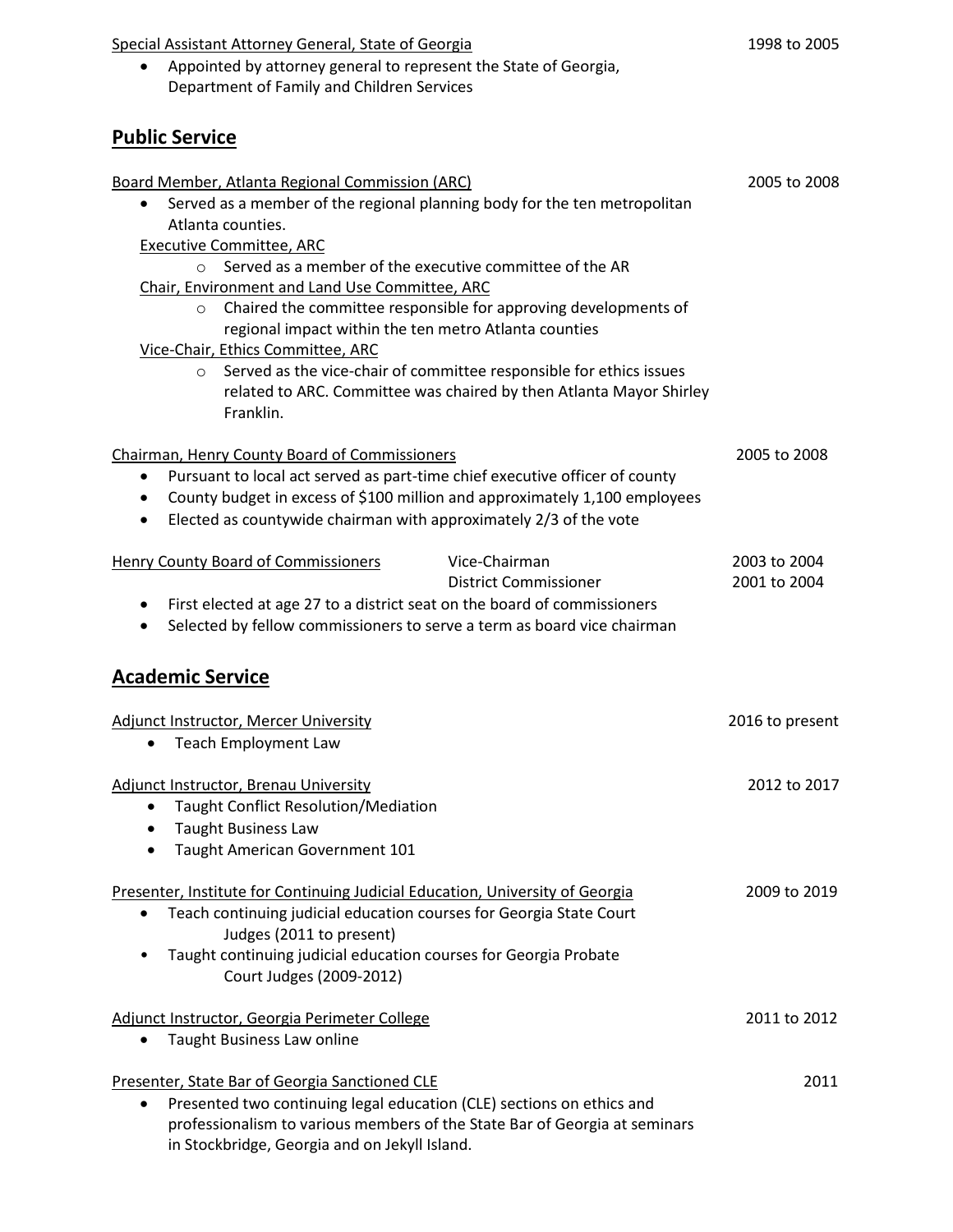#### Special Assistant Attorney General, State of Georgia 1998 to 2005

• Appointed by attorney general to represent the State of Georgia, Department of Family and Children Services

#### **Public Service**

| Board Member, Atlanta Regional Commission (ARC)                                                                                                                                               | 2005 to 2008    |
|-----------------------------------------------------------------------------------------------------------------------------------------------------------------------------------------------|-----------------|
| Served as a member of the regional planning body for the ten metropolitan<br>$\bullet$                                                                                                        |                 |
| Atlanta counties.                                                                                                                                                                             |                 |
| <b>Executive Committee, ARC</b>                                                                                                                                                               |                 |
| Served as a member of the executive committee of the AR                                                                                                                                       |                 |
| Chair, Environment and Land Use Committee, ARC                                                                                                                                                |                 |
| Chaired the committee responsible for approving developments of<br>$\circ$<br>regional impact within the ten metro Atlanta counties                                                           |                 |
| Vice-Chair, Ethics Committee, ARC                                                                                                                                                             |                 |
| Served as the vice-chair of committee responsible for ethics issues<br>$\circ$<br>related to ARC. Committee was chaired by then Atlanta Mayor Shirley<br>Franklin.                            |                 |
| Chairman, Henry County Board of Commissioners                                                                                                                                                 | 2005 to 2008    |
| Pursuant to local act served as part-time chief executive officer of county<br>٠                                                                                                              |                 |
| County budget in excess of \$100 million and approximately 1,100 employees<br>٠<br>Elected as countywide chairman with approximately 2/3 of the vote<br>$\bullet$                             |                 |
| Henry County Board of Commissioners<br>Vice-Chairman                                                                                                                                          | 2003 to 2004    |
| <b>District Commissioner</b>                                                                                                                                                                  | 2001 to 2004    |
| First elected at age 27 to a district seat on the board of commissioners<br>$\bullet$                                                                                                         |                 |
| Selected by fellow commissioners to serve a term as board vice chairman<br>$\bullet$                                                                                                          |                 |
|                                                                                                                                                                                               |                 |
| <b>Academic Service</b>                                                                                                                                                                       |                 |
| Adjunct Instructor, Mercer University                                                                                                                                                         | 2016 to present |
| <b>Teach Employment Law</b><br>$\bullet$                                                                                                                                                      |                 |
| <b>Adjunct Instructor, Brenau University</b>                                                                                                                                                  | 2012 to 2017    |
| Taught Conflict Resolution/Mediation<br>$\bullet$                                                                                                                                             |                 |
| <b>Taught Business Law</b><br>٠                                                                                                                                                               |                 |
| Taught American Government 101<br>٠                                                                                                                                                           |                 |
| Presenter, Institute for Continuing Judicial Education, University of Georgia<br>Teach continuing judicial education courses for Georgia State Court<br>$\bullet$<br>Judges (2011 to present) | 2009 to 2019    |
| Taught continuing judicial education courses for Georgia Probate<br>Court Judges (2009-2012)                                                                                                  |                 |
| Adjunct Instructor, Georgia Perimeter College                                                                                                                                                 | 2011 to 2012    |
| Taught Business Law online<br>$\bullet$                                                                                                                                                       |                 |
| Presenter, State Bar of Georgia Sanctioned CLE                                                                                                                                                | 2011            |
| Presented two continuing legal education (CLE) sections on ethics and<br>$\bullet$                                                                                                            |                 |
| professionalism to various members of the State Bar of Georgia at seminars<br>in Stockbridge, Georgia and on Jekyll Island.                                                                   |                 |